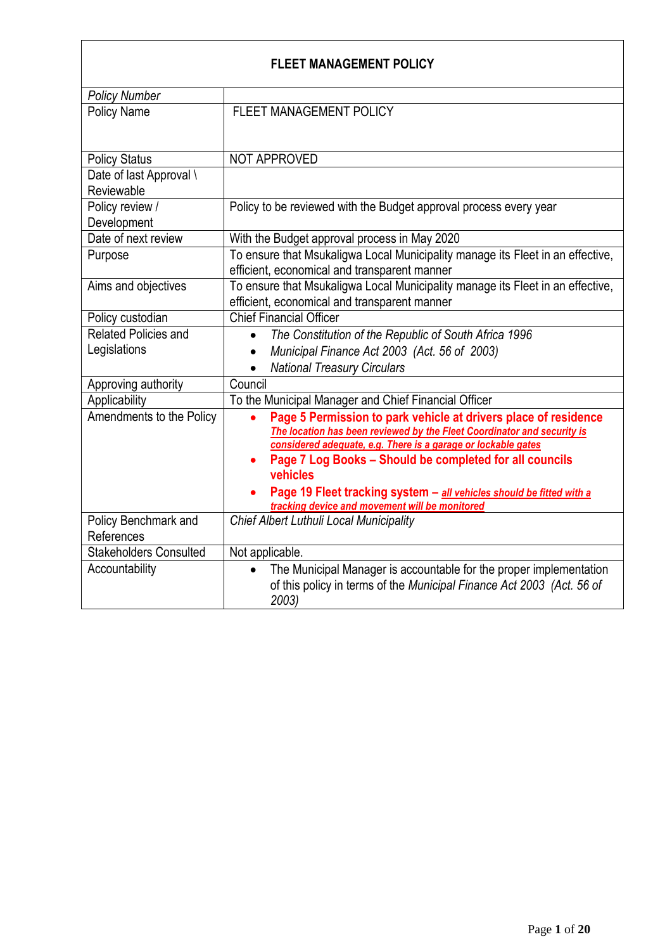# **FLEET MANAGEMENT POLICY**

| <b>Policy Number</b>          |                                                                                           |
|-------------------------------|-------------------------------------------------------------------------------------------|
| <b>Policy Name</b>            | FLEET MANAGEMENT POLICY                                                                   |
|                               |                                                                                           |
| <b>Policy Status</b>          | NOT APPROVED                                                                              |
| Date of last Approval \       |                                                                                           |
| Reviewable                    |                                                                                           |
| Policy review /               | Policy to be reviewed with the Budget approval process every year                         |
| Development                   |                                                                                           |
| Date of next review           | With the Budget approval process in May 2020                                              |
| Purpose                       | To ensure that Msukaligwa Local Municipality manage its Fleet in an effective,            |
|                               | efficient, economical and transparent manner                                              |
| Aims and objectives           | To ensure that Msukaligwa Local Municipality manage its Fleet in an effective,            |
|                               | efficient, economical and transparent manner                                              |
| Policy custodian              | <b>Chief Financial Officer</b>                                                            |
| Related Policies and          | The Constitution of the Republic of South Africa 1996<br>$\bullet$                        |
| Legislations                  | Municipal Finance Act 2003 (Act. 56 of 2003)                                              |
|                               | <b>National Treasury Circulars</b>                                                        |
| Approving authority           | Council                                                                                   |
| Applicability                 | To the Municipal Manager and Chief Financial Officer                                      |
| Amendments to the Policy      | Page 5 Permission to park vehicle at drivers place of residence                           |
|                               | The location has been reviewed by the Fleet Coordinator and security is                   |
|                               | considered adequate, e.g. There is a garage or lockable gates                             |
|                               | Page 7 Log Books - Should be completed for all councils                                   |
|                               | vehicles                                                                                  |
|                               | Page 19 Fleet tracking system - all vehicles should be fitted with a                      |
| Policy Benchmark and          | tracking device and movement will be monitored<br>Chief Albert Luthuli Local Municipality |
| References                    |                                                                                           |
| <b>Stakeholders Consulted</b> | Not applicable.                                                                           |
|                               |                                                                                           |
| Accountability                | The Municipal Manager is accountable for the proper implementation<br>$\bullet$           |
|                               | of this policy in terms of the Municipal Finance Act 2003 (Act. 56 of<br>2003)            |
|                               |                                                                                           |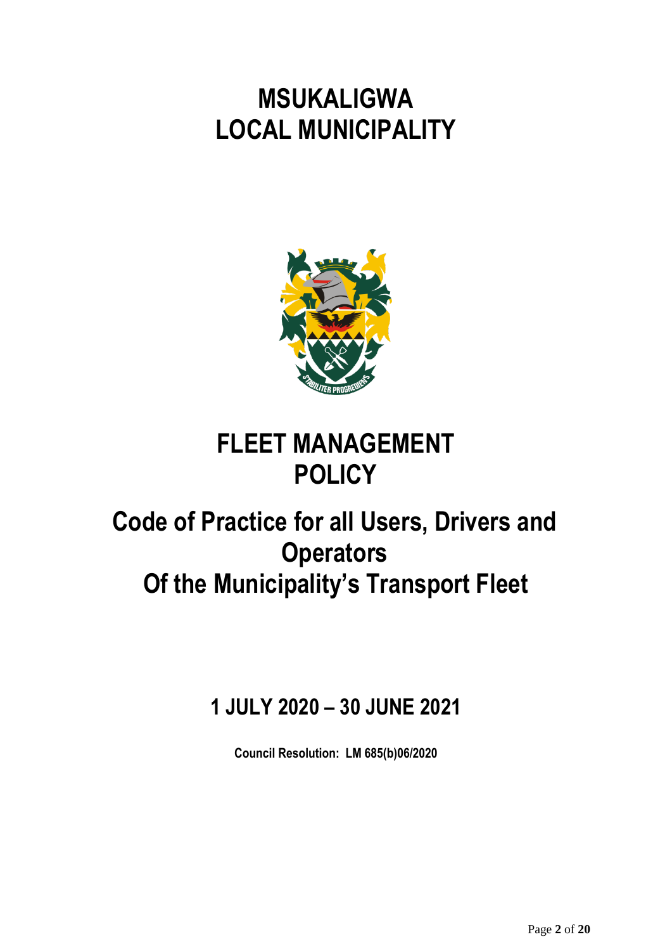**MSUKALIGWA LOCAL MUNICIPALITY**



# **FLEET MANAGEMENT POLICY**

# **Code of Practice for all Users, Drivers and Operators Of the Municipality's Transport Fleet**

# **1 JULY 2020 – 30 JUNE 2021**

**Council Resolution: LM 685(b)06/2020**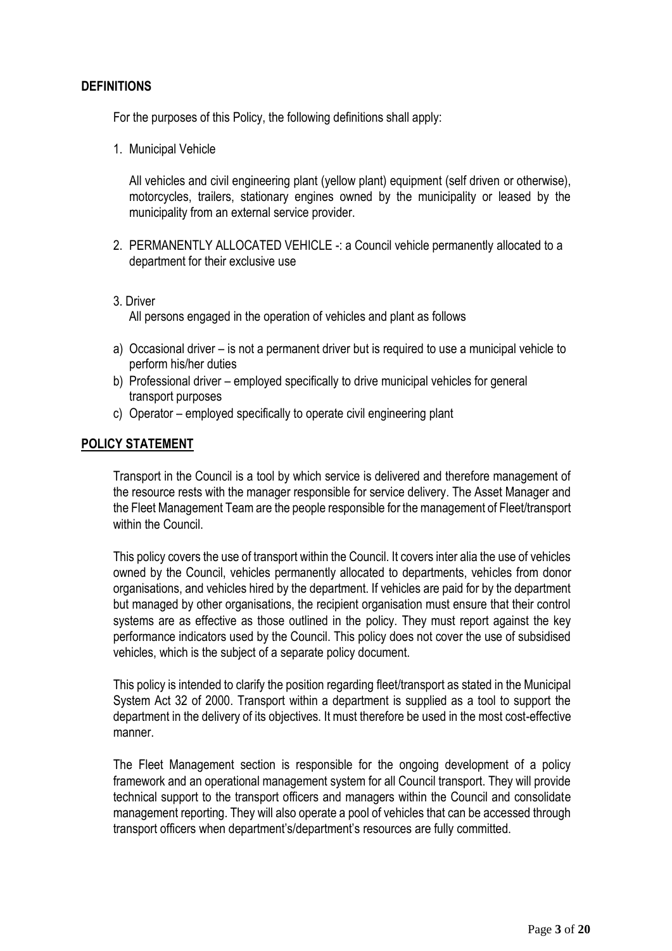#### **DEFINITIONS**

For the purposes of this Policy, the following definitions shall apply:

1. Municipal Vehicle

All vehicles and civil engineering plant (yellow plant) equipment (self driven or otherwise), motorcycles, trailers, stationary engines owned by the municipality or leased by the municipality from an external service provider.

- 2. PERMANENTLY ALLOCATED VEHICLE -: a Council vehicle permanently allocated to a department for their exclusive use
- 3. Driver All persons engaged in the operation of vehicles and plant as follows
- a) Occasional driver is not a permanent driver but is required to use a municipal vehicle to perform his/her duties
- b) Professional driver employed specifically to drive municipal vehicles for general transport purposes
- c) Operator employed specifically to operate civil engineering plant

#### **POLICY STATEMENT**

Transport in the Council is a tool by which service is delivered and therefore management of the resource rests with the manager responsible for service delivery. The Asset Manager and the Fleet Management Team are the people responsible for the management of Fleet/transport within the Council

This policy covers the use of transport within the Council. It covers inter alia the use of vehicles owned by the Council, vehicles permanently allocated to departments, vehicles from donor organisations, and vehicles hired by the department. If vehicles are paid for by the department but managed by other organisations, the recipient organisation must ensure that their control systems are as effective as those outlined in the policy. They must report against the key performance indicators used by the Council. This policy does not cover the use of subsidised vehicles, which is the subject of a separate policy document.

This policy is intended to clarify the position regarding fleet/transport as stated in the Municipal System Act 32 of 2000. Transport within a department is supplied as a tool to support the department in the delivery of its objectives. It must therefore be used in the most cost-effective manner.

The Fleet Management section is responsible for the ongoing development of a policy framework and an operational management system for all Council transport. They will provide technical support to the transport officers and managers within the Council and consolidate management reporting. They will also operate a pool of vehicles that can be accessed through transport officers when department's/department's resources are fully committed.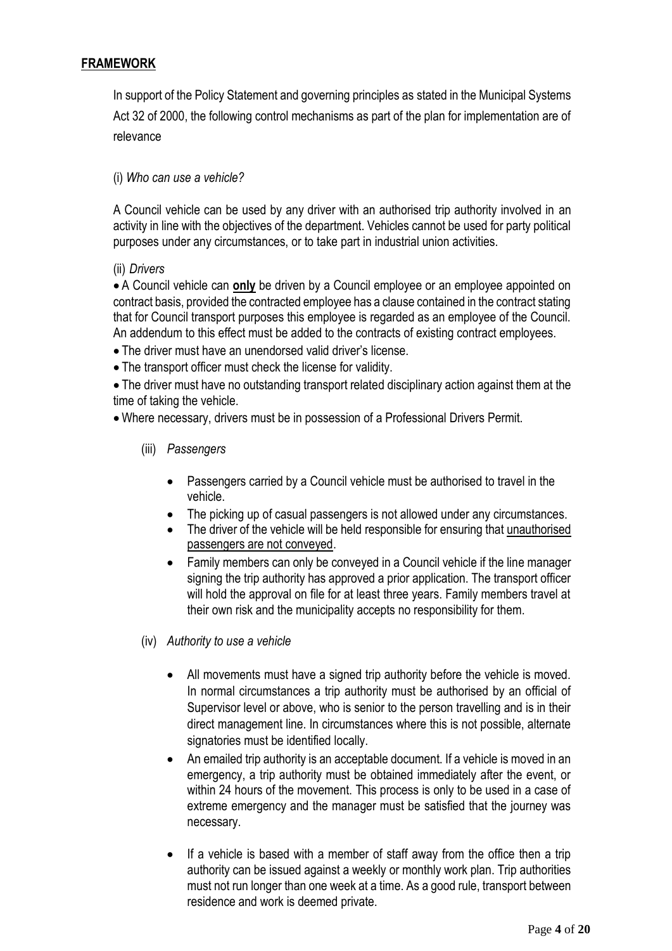## **FRAMEWORK**

In support of the Policy Statement and governing principles as stated in the Municipal Systems Act 32 of 2000, the following control mechanisms as part of the plan for implementation are of relevance

#### (i) *Who can use a vehicle?*

A Council vehicle can be used by any driver with an authorised trip authority involved in an activity in line with the objectives of the department. Vehicles cannot be used for party political purposes under any circumstances, or to take part in industrial union activities.

#### (ii) *Drivers*

 A Council vehicle can **only** be driven by a Council employee or an employee appointed on contract basis, provided the contracted employee has a clause contained in the contract stating that for Council transport purposes this employee is regarded as an employee of the Council. An addendum to this effect must be added to the contracts of existing contract employees.

- The driver must have an unendorsed valid driver's license.
- The transport officer must check the license for validity.

 The driver must have no outstanding transport related disciplinary action against them at the time of taking the vehicle.

Where necessary, drivers must be in possession of a Professional Drivers Permit.

- (iii) *Passengers*
	- Passengers carried by a Council vehicle must be authorised to travel in the vehicle.
	- The picking up of casual passengers is not allowed under any circumstances.
	- The driver of the vehicle will be held responsible for ensuring that unauthorised passengers are not conveyed.
	- Family members can only be conveyed in a Council vehicle if the line manager signing the trip authority has approved a prior application. The transport officer will hold the approval on file for at least three years. Family members travel at their own risk and the municipality accepts no responsibility for them.
- (iv) *Authority to use a vehicle*
	- All movements must have a signed trip authority before the vehicle is moved. In normal circumstances a trip authority must be authorised by an official of Supervisor level or above, who is senior to the person travelling and is in their direct management line. In circumstances where this is not possible, alternate signatories must be identified locally.
	- An emailed trip authority is an acceptable document. If a vehicle is moved in an emergency, a trip authority must be obtained immediately after the event, or within 24 hours of the movement. This process is only to be used in a case of extreme emergency and the manager must be satisfied that the journey was necessary.
	- If a vehicle is based with a member of staff away from the office then a trip authority can be issued against a weekly or monthly work plan. Trip authorities must not run longer than one week at a time. As a good rule, transport between residence and work is deemed private.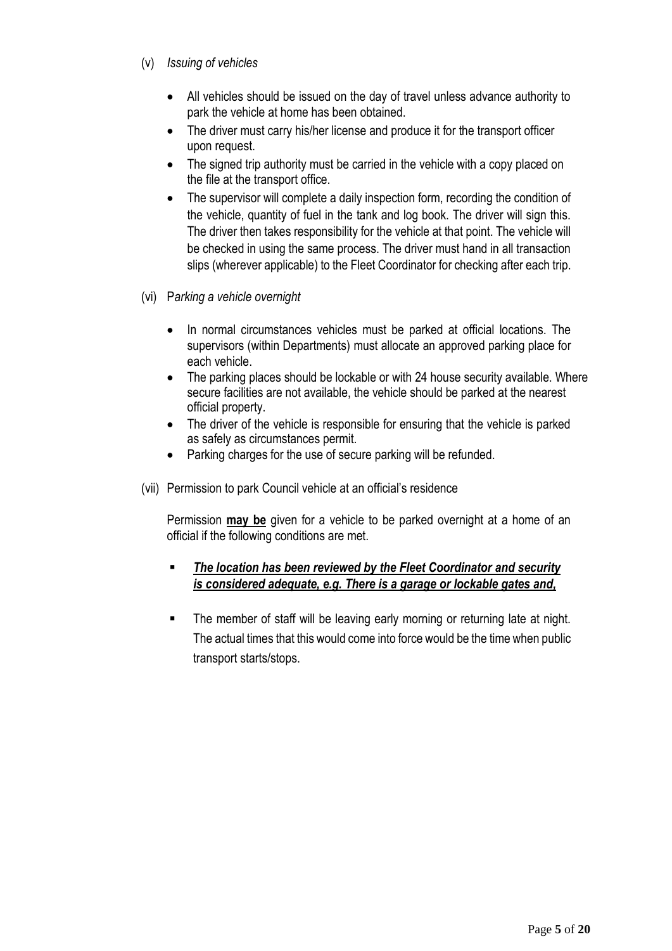- (v) *Issuing of vehicles*
	- All vehicles should be issued on the day of travel unless advance authority to park the vehicle at home has been obtained.
	- The driver must carry his/her license and produce it for the transport officer upon request.
	- The signed trip authority must be carried in the vehicle with a copy placed on the file at the transport office.
	- The supervisor will complete a daily inspection form, recording the condition of the vehicle, quantity of fuel in the tank and log book. The driver will sign this. The driver then takes responsibility for the vehicle at that point. The vehicle will be checked in using the same process. The driver must hand in all transaction slips (wherever applicable) to the Fleet Coordinator for checking after each trip.
- (vi) P*arking a vehicle overnight*
	- In normal circumstances vehicles must be parked at official locations. The supervisors (within Departments) must allocate an approved parking place for each vehicle.
	- The parking places should be lockable or with 24 house security available. Where secure facilities are not available, the vehicle should be parked at the nearest official property.
	- The driver of the vehicle is responsible for ensuring that the vehicle is parked as safely as circumstances permit.
	- Parking charges for the use of secure parking will be refunded.
- (vii) Permission to park Council vehicle at an official's residence

Permission **may be** given for a vehicle to be parked overnight at a home of an official if the following conditions are met.

### *The location has been reviewed by the Fleet Coordinator and security is considered adequate, e.g. There is a garage or lockable gates and,*

**The member of staff will be leaving early morning or returning late at night.** The actual times that this would come into force would be the time when public transport starts/stops.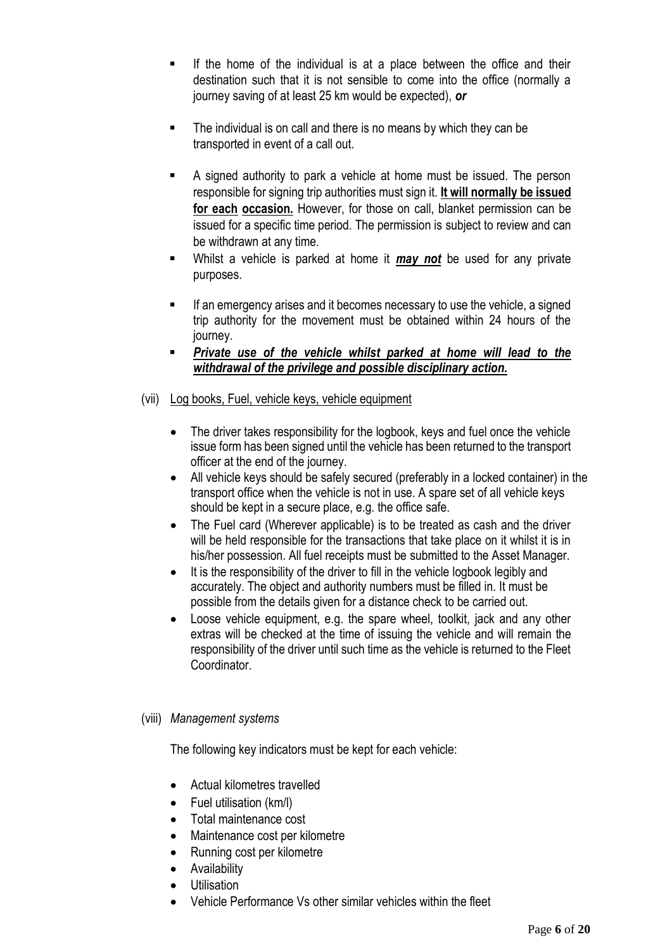- If the home of the individual is at a place between the office and their destination such that it is not sensible to come into the office (normally a journey saving of at least 25 km would be expected), *or*
- The individual is on call and there is no means by which they can be transported in event of a call out.
- A signed authority to park a vehicle at home must be issued. The person responsible for signing trip authorities must sign it. **It will normally be issued for each occasion.** However, for those on call, blanket permission can be issued for a specific time period. The permission is subject to review and can be withdrawn at any time.
- Whilst a vehicle is parked at home it *may not* be used for any private purposes.
- **If an emergency arises and it becomes necessary to use the vehicle, a signed** trip authority for the movement must be obtained within 24 hours of the journey.
- *Private use of the vehicle whilst parked at home will lead to the withdrawal of the privilege and possible disciplinary action.*
- (vii) Log books, Fuel, vehicle keys, vehicle equipment
	- The driver takes responsibility for the logbook, keys and fuel once the vehicle issue form has been signed until the vehicle has been returned to the transport officer at the end of the journey.
	- All vehicle keys should be safely secured (preferably in a locked container) in the transport office when the vehicle is not in use. A spare set of all vehicle keys should be kept in a secure place, e.g. the office safe.
	- The Fuel card (Wherever applicable) is to be treated as cash and the driver will be held responsible for the transactions that take place on it whilst it is in his/her possession. All fuel receipts must be submitted to the Asset Manager.
	- It is the responsibility of the driver to fill in the vehicle logbook legibly and accurately. The object and authority numbers must be filled in. It must be possible from the details given for a distance check to be carried out.
	- Loose vehicle equipment, e.g. the spare wheel, toolkit, jack and any other extras will be checked at the time of issuing the vehicle and will remain the responsibility of the driver until such time as the vehicle is returned to the Fleet Coordinator.

#### (viii) *Management systems*

The following key indicators must be kept for each vehicle:

- Actual kilometres travelled
- Fuel utilisation (km/l)
- Total maintenance cost
- Maintenance cost per kilometre
- Running cost per kilometre
- **•** Availability
- **•** Utilisation
- Vehicle Performance Vs other similar vehicles within the fleet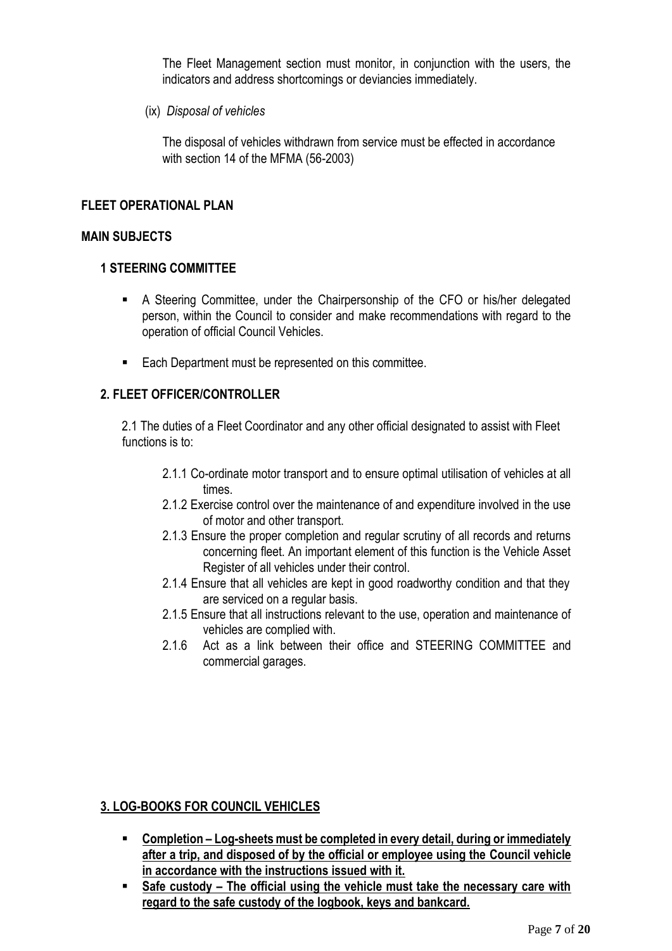The Fleet Management section must monitor, in conjunction with the users, the indicators and address shortcomings or deviancies immediately.

(ix) *Disposal of vehicles*

The disposal of vehicles withdrawn from service must be effected in accordance with section 14 of the MFMA (56-2003)

#### **FI FFT OPFRATIONAL PLAN**

#### **MAIN SUBJECTS**

#### **1 STEERING COMMITTEE**

- A Steering Committee, under the Chairpersonship of the CFO or his/her delegated person, within the Council to consider and make recommendations with regard to the operation of official Council Vehicles.
- Each Department must be represented on this committee.

#### **2. FLEET OFFICER/CONTROLLER**

2.1 The duties of a Fleet Coordinator and any other official designated to assist with Fleet functions is to:

- 2.1.1 Co-ordinate motor transport and to ensure optimal utilisation of vehicles at all times.
- 2.1.2 Exercise control over the maintenance of and expenditure involved in the use of motor and other transport.
- 2.1.3 Ensure the proper completion and regular scrutiny of all records and returns concerning fleet. An important element of this function is the Vehicle Asset Register of all vehicles under their control.
- 2.1.4 Ensure that all vehicles are kept in good roadworthy condition and that they are serviced on a regular basis.
- 2.1.5 Ensure that all instructions relevant to the use, operation and maintenance of vehicles are complied with.
- 2.1.6 Act as a link between their office and STEERING COMMITTEE and commercial garages.

#### **3. LOG-BOOKS FOR COUNCIL VEHICLES**

- **EXP** Completion Log-sheets must be completed in every detail, during or immediately **after a trip, and disposed of by the official or employee using the Council vehicle in accordance with the instructions issued with it.**
- **Safe custody – The official using the vehicle must take the necessary care with regard to the safe custody of the logbook, keys and bankcard.**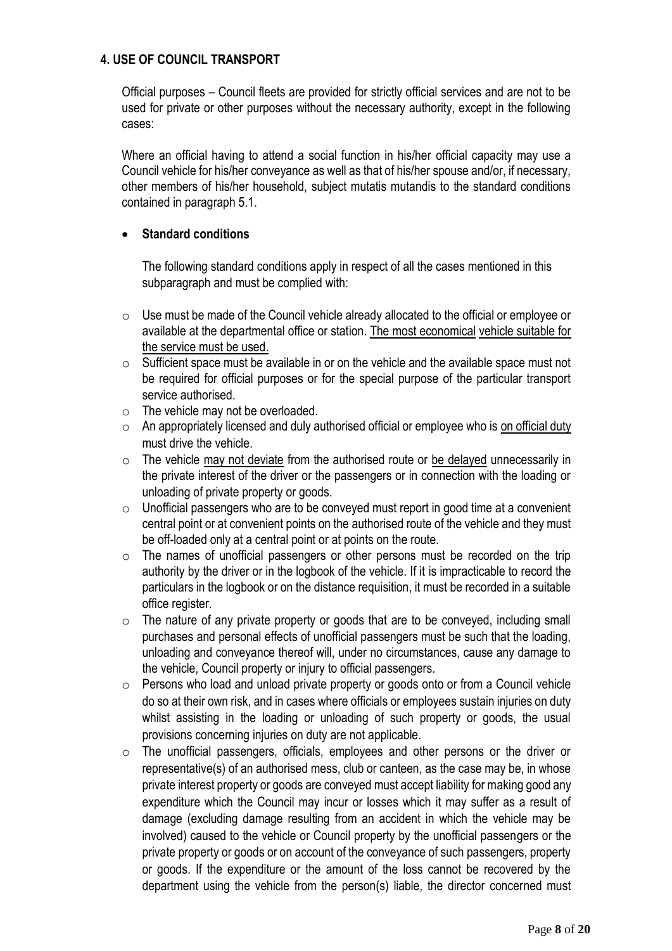#### **4. USE OF COUNCIL TRANSPORT**

Official purposes – Council fleets are provided for strictly official services and are not to be used for private or other purposes without the necessary authority, except in the following cases:

Where an official having to attend a social function in his/her official capacity may use a Council vehicle for his/her conveyance as well as that of his/her spouse and/or, if necessary, other members of his/her household, subject mutatis mutandis to the standard conditions contained in paragraph 5.1.

#### **Standard conditions**

The following standard conditions apply in respect of all the cases mentioned in this subparagraph and must be complied with:

- o Use must be made of the Council vehicle already allocated to the official or employee or available at the departmental office or station. The most economical vehicle suitable for the service must be used.
- o Sufficient space must be available in or on the vehicle and the available space must not be required for official purposes or for the special purpose of the particular transport service authorised.
- o The vehicle may not be overloaded.
- $\circ$  An appropriately licensed and duly authorised official or employee who is on official duty must drive the vehicle.
- $\circ$  The vehicle may not deviate from the authorised route or be delayed unnecessarily in the private interest of the driver or the passengers or in connection with the loading or unloading of private property or goods.
- o Unofficial passengers who are to be conveyed must report in good time at a convenient central point or at convenient points on the authorised route of the vehicle and they must be off-loaded only at a central point or at points on the route.
- o The names of unofficial passengers or other persons must be recorded on the trip authority by the driver or in the logbook of the vehicle. If it is impracticable to record the particulars in the logbook or on the distance requisition, it must be recorded in a suitable office register.
- $\circ$  The nature of any private property or goods that are to be conveyed, including small purchases and personal effects of unofficial passengers must be such that the loading, unloading and conveyance thereof will, under no circumstances, cause any damage to the vehicle, Council property or injury to official passengers.
- o Persons who load and unload private property or goods onto or from a Council vehicle do so at their own risk, and in cases where officials or employees sustain injuries on duty whilst assisting in the loading or unloading of such property or goods, the usual provisions concerning injuries on duty are not applicable.
- $\circ$  The unofficial passengers, officials, employees and other persons or the driver or representative(s) of an authorised mess, club or canteen, as the case may be, in whose private interest property or goods are conveyed must accept liability for making good any expenditure which the Council may incur or losses which it may suffer as a result of damage (excluding damage resulting from an accident in which the vehicle may be involved) caused to the vehicle or Council property by the unofficial passengers or the private property or goods or on account of the conveyance of such passengers, property or goods. If the expenditure or the amount of the loss cannot be recovered by the department using the vehicle from the person(s) liable, the director concerned must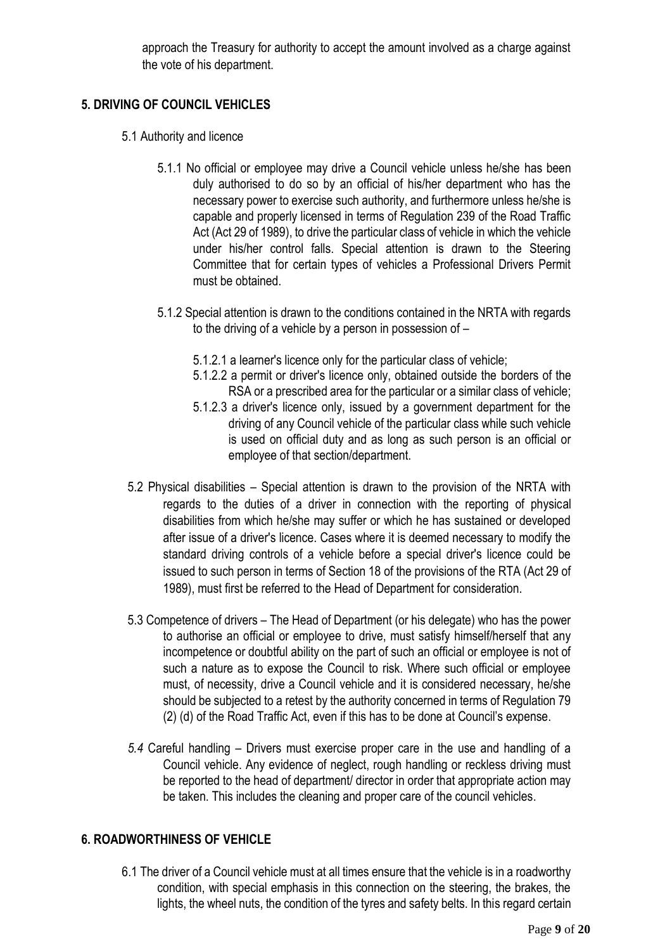approach the Treasury for authority to accept the amount involved as a charge against the vote of his department.

## **5. DRIVING OF COUNCIL VEHICLES**

- 5.1 Authority and licence
	- 5.1.1 No official or employee may drive a Council vehicle unless he/she has been duly authorised to do so by an official of his/her department who has the necessary power to exercise such authority, and furthermore unless he/she is capable and properly licensed in terms of Regulation 239 of the Road Traffic Act (Act 29 of 1989), to drive the particular class of vehicle in which the vehicle under his/her control falls. Special attention is drawn to the Steering Committee that for certain types of vehicles a Professional Drivers Permit must be obtained.
	- 5.1.2 Special attention is drawn to the conditions contained in the NRTA with regards to the driving of a vehicle by a person in possession of –
		- 5.1.2.1 a learner's licence only for the particular class of vehicle;
		- 5.1.2.2 a permit or driver's licence only, obtained outside the borders of the RSA or a prescribed area for the particular or a similar class of vehicle;
		- 5.1.2.3 a driver's licence only, issued by a government department for the driving of any Council vehicle of the particular class while such vehicle is used on official duty and as long as such person is an official or employee of that section/department.
	- 5.2 Physical disabilities Special attention is drawn to the provision of the NRTA with regards to the duties of a driver in connection with the reporting of physical disabilities from which he/she may suffer or which he has sustained or developed after issue of a driver's licence. Cases where it is deemed necessary to modify the standard driving controls of a vehicle before a special driver's licence could be issued to such person in terms of Section 18 of the provisions of the RTA (Act 29 of 1989), must first be referred to the Head of Department for consideration.
	- 5.3 Competence of drivers The Head of Department (or his delegate) who has the power to authorise an official or employee to drive, must satisfy himself/herself that any incompetence or doubtful ability on the part of such an official or employee is not of such a nature as to expose the Council to risk. Where such official or employee must, of necessity, drive a Council vehicle and it is considered necessary, he/she should be subjected to a retest by the authority concerned in terms of Regulation 79 (2) (d) of the Road Traffic Act, even if this has to be done at Council's expense.
	- *5.4* Careful handling Drivers must exercise proper care in the use and handling of a Council vehicle. Any evidence of neglect, rough handling or reckless driving must be reported to the head of department/ director in order that appropriate action may be taken. This includes the cleaning and proper care of the council vehicles.

# **6. ROADWORTHINESS OF VEHICLE**

6.1 The driver of a Council vehicle must at all times ensure that the vehicle is in a roadworthy condition, with special emphasis in this connection on the steering, the brakes, the lights, the wheel nuts, the condition of the tyres and safety belts. In this regard certain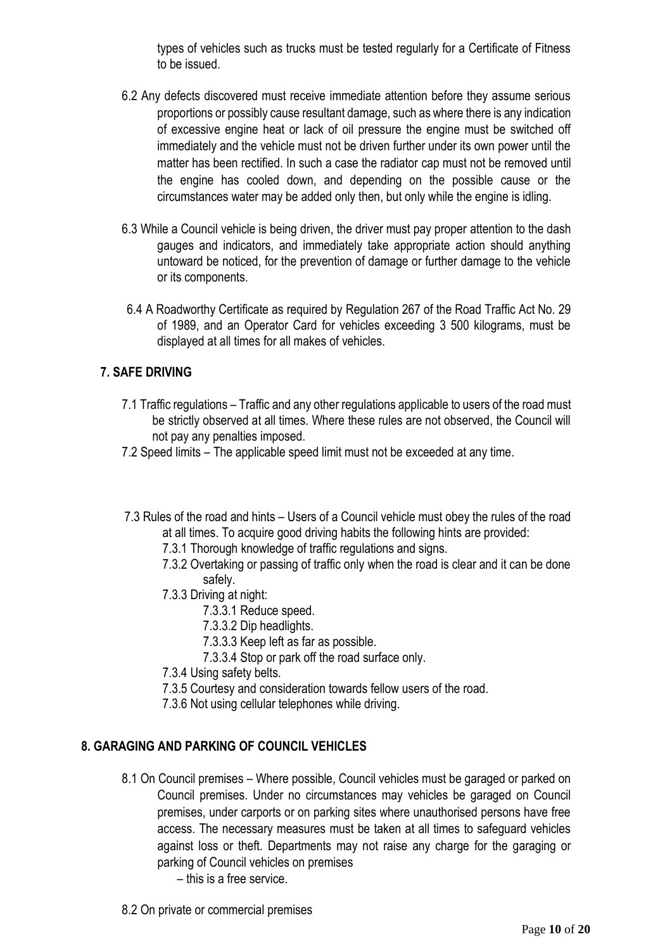types of vehicles such as trucks must be tested regularly for a Certificate of Fitness to be issued.

- 6.2 Any defects discovered must receive immediate attention before they assume serious proportions or possibly cause resultant damage, such as where there is any indication of excessive engine heat or lack of oil pressure the engine must be switched off immediately and the vehicle must not be driven further under its own power until the matter has been rectified. In such a case the radiator cap must not be removed until the engine has cooled down, and depending on the possible cause or the circumstances water may be added only then, but only while the engine is idling.
- 6.3 While a Council vehicle is being driven, the driver must pay proper attention to the dash gauges and indicators, and immediately take appropriate action should anything untoward be noticed, for the prevention of damage or further damage to the vehicle or its components.
- 6.4 A Roadworthy Certificate as required by Regulation 267 of the Road Traffic Act No. 29 of 1989, and an Operator Card for vehicles exceeding 3 500 kilograms, must be displayed at all times for all makes of vehicles.

### **7. SAFE DRIVING**

- 7.1 Traffic regulations Traffic and any other regulations applicable to users of the road must be strictly observed at all times. Where these rules are not observed, the Council will not pay any penalties imposed.
- 7.2 Speed limits The applicable speed limit must not be exceeded at any time.
- 7.3 Rules of the road and hints Users of a Council vehicle must obey the rules of the road at all times. To acquire good driving habits the following hints are provided:
	- 7.3.1 Thorough knowledge of traffic regulations and signs.
	- 7.3.2 Overtaking or passing of traffic only when the road is clear and it can be done safely.
	- 7.3.3 Driving at night:
		- 7.3.3.1 Reduce speed.
		- 7.3.3.2 Dip headlights.
		- 7.3.3.3 Keep left as far as possible.
		- 7.3.3.4 Stop or park off the road surface only.
	- 7.3.4 Using safety belts.
	- 7.3.5 Courtesy and consideration towards fellow users of the road.
	- 7.3.6 Not using cellular telephones while driving.

#### **8. GARAGING AND PARKING OF COUNCIL VEHICLES**

- 8.1 On Council premises Where possible, Council vehicles must be garaged or parked on Council premises. Under no circumstances may vehicles be garaged on Council premises, under carports or on parking sites where unauthorised persons have free access. The necessary measures must be taken at all times to safeguard vehicles against loss or theft. Departments may not raise any charge for the garaging or parking of Council vehicles on premises
	- this is a free service.
- 8.2 On private or commercial premises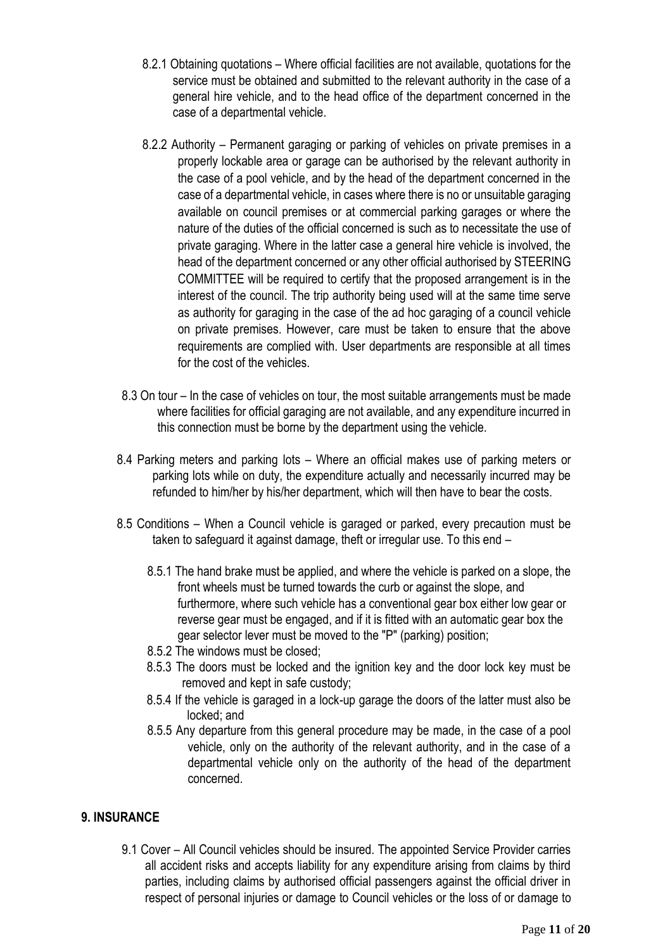- 8.2.1 Obtaining quotations Where official facilities are not available, quotations for the service must be obtained and submitted to the relevant authority in the case of a general hire vehicle, and to the head office of the department concerned in the case of a departmental vehicle.
- 8.2.2 Authority Permanent garaging or parking of vehicles on private premises in a properly lockable area or garage can be authorised by the relevant authority in the case of a pool vehicle, and by the head of the department concerned in the case of a departmental vehicle, in cases where there is no or unsuitable garaging available on council premises or at commercial parking garages or where the nature of the duties of the official concerned is such as to necessitate the use of private garaging. Where in the latter case a general hire vehicle is involved, the head of the department concerned or any other official authorised by STEERING COMMITTEE will be required to certify that the proposed arrangement is in the interest of the council. The trip authority being used will at the same time serve as authority for garaging in the case of the ad hoc garaging of a council vehicle on private premises. However, care must be taken to ensure that the above requirements are complied with. User departments are responsible at all times for the cost of the vehicles.
- 8.3 On tour In the case of vehicles on tour, the most suitable arrangements must be made where facilities for official garaging are not available, and any expenditure incurred in this connection must be borne by the department using the vehicle.
- 8.4 Parking meters and parking lots Where an official makes use of parking meters or parking lots while on duty, the expenditure actually and necessarily incurred may be refunded to him/her by his/her department, which will then have to bear the costs.
- 8.5 Conditions When a Council vehicle is garaged or parked, every precaution must be taken to safeguard it against damage, theft or irregular use. To this end –
	- 8.5.1 The hand brake must be applied, and where the vehicle is parked on a slope, the front wheels must be turned towards the curb or against the slope, and furthermore, where such vehicle has a conventional gear box either low gear or reverse gear must be engaged, and if it is fitted with an automatic gear box the gear selector lever must be moved to the "P" (parking) position;
	- 8.5.2 The windows must be closed;
	- 8.5.3 The doors must be locked and the ignition key and the door lock key must be removed and kept in safe custody;
	- 8.5.4 If the vehicle is garaged in a lock-up garage the doors of the latter must also be locked; and
	- 8.5.5 Any departure from this general procedure may be made, in the case of a pool vehicle, only on the authority of the relevant authority, and in the case of a departmental vehicle only on the authority of the head of the department concerned.

#### **9. INSURANCE**

9.1 Cover – All Council vehicles should be insured. The appointed Service Provider carries all accident risks and accepts liability for any expenditure arising from claims by third parties, including claims by authorised official passengers against the official driver in respect of personal injuries or damage to Council vehicles or the loss of or damage to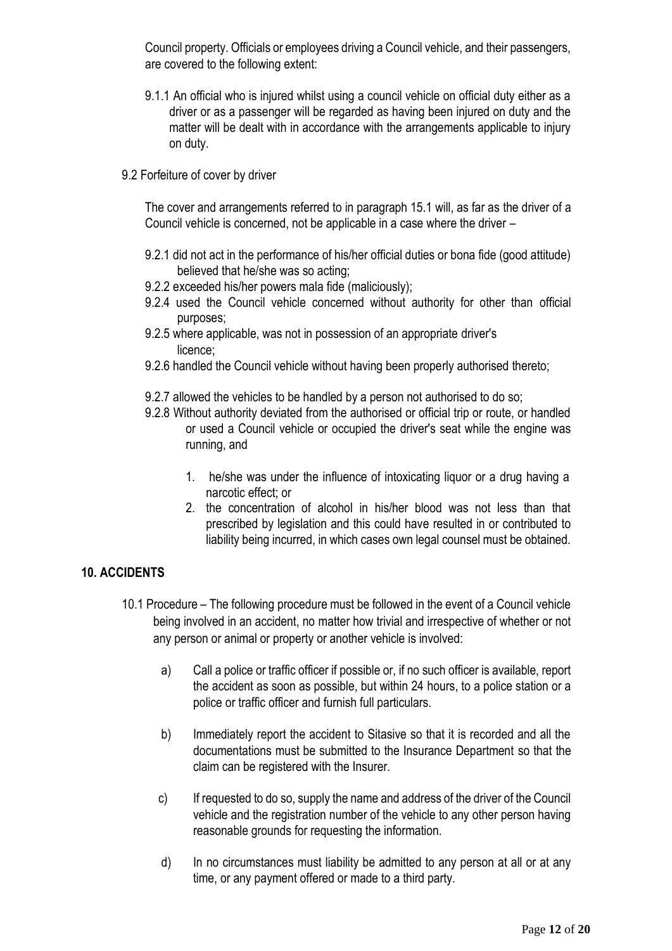Council property. Officials or employees driving a Council vehicle, and their passengers, are covered to the following extent:

- 9.1.1 An official who is injured whilst using a council vehicle on official duty either as a driver or as a passenger will be regarded as having been injured on duty and the matter will be dealt with in accordance with the arrangements applicable to injury on duty.
- 9.2 Forfeiture of cover by driver

The cover and arrangements referred to in paragraph 15.1 will, as far as the driver of a Council vehicle is concerned, not be applicable in a case where the driver –

- 9.2.1 did not act in the performance of his/her official duties or bona fide (good attitude) believed that he/she was so acting;
- 9.2.2 exceeded his/her powers mala fide (maliciously);
- 9.2.4 used the Council vehicle concerned without authority for other than official purposes;
- 9.2.5 where applicable, was not in possession of an appropriate driver's licence;
- 9.2.6 handled the Council vehicle without having been properly authorised thereto;
- 9.2.7 allowed the vehicles to be handled by a person not authorised to do so;
- 9.2.8 Without authority deviated from the authorised or official trip or route, or handled or used a Council vehicle or occupied the driver's seat while the engine was running, and
	- 1. he/she was under the influence of intoxicating liquor or a drug having a narcotic effect; or
	- 2. the concentration of alcohol in his/her blood was not less than that prescribed by legislation and this could have resulted in or contributed to liability being incurred, in which cases own legal counsel must be obtained.

#### **10. ACCIDENTS**

- 10.1 Procedure The following procedure must be followed in the event of a Council vehicle being involved in an accident, no matter how trivial and irrespective of whether or not any person or animal or property or another vehicle is involved:
	- a) Call a police or traffic officer if possible or, if no such officer is available, report the accident as soon as possible, but within 24 hours, to a police station or a police or traffic officer and furnish full particulars.
	- b) Immediately report the accident to Sitasive so that it is recorded and all the documentations must be submitted to the Insurance Department so that the claim can be registered with the Insurer.
	- c) If requested to do so, supply the name and address of the driver of the Council vehicle and the registration number of the vehicle to any other person having reasonable grounds for requesting the information.
	- d) In no circumstances must liability be admitted to any person at all or at any time, or any payment offered or made to a third party.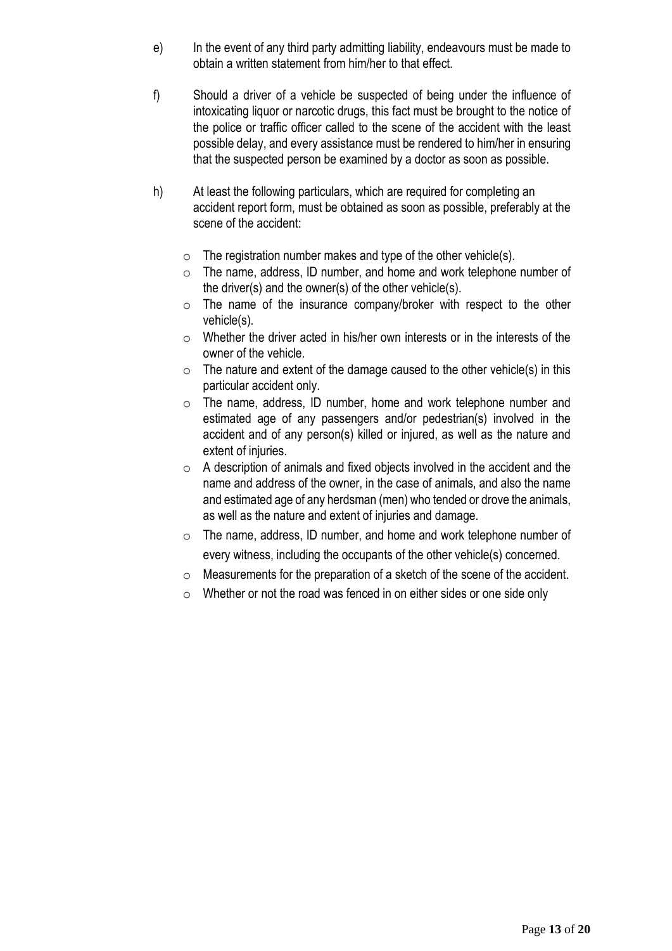- e) In the event of any third party admitting liability, endeavours must be made to obtain a written statement from him/her to that effect.
- f) Should a driver of a vehicle be suspected of being under the influence of intoxicating liquor or narcotic drugs, this fact must be brought to the notice of the police or traffic officer called to the scene of the accident with the least possible delay, and every assistance must be rendered to him/her in ensuring that the suspected person be examined by a doctor as soon as possible.
- h) At least the following particulars, which are required for completing an accident report form, must be obtained as soon as possible, preferably at the scene of the accident:
	- $\circ$  The registration number makes and type of the other vehicle(s).
	- o The name, address, ID number, and home and work telephone number of the driver(s) and the owner(s) of the other vehicle(s).
	- $\circ$  The name of the insurance company/broker with respect to the other vehicle(s).
	- o Whether the driver acted in his/her own interests or in the interests of the owner of the vehicle.
	- o The nature and extent of the damage caused to the other vehicle(s) in this particular accident only.
	- o The name, address, ID number, home and work telephone number and estimated age of any passengers and/or pedestrian(s) involved in the accident and of any person(s) killed or injured, as well as the nature and extent of injuries.
	- $\circ$  A description of animals and fixed objects involved in the accident and the name and address of the owner, in the case of animals, and also the name and estimated age of any herdsman (men) who tended or drove the animals, as well as the nature and extent of injuries and damage.
	- o The name, address, ID number, and home and work telephone number of every witness, including the occupants of the other vehicle(s) concerned.
	- o Measurements for the preparation of a sketch of the scene of the accident.
	- o Whether or not the road was fenced in on either sides or one side only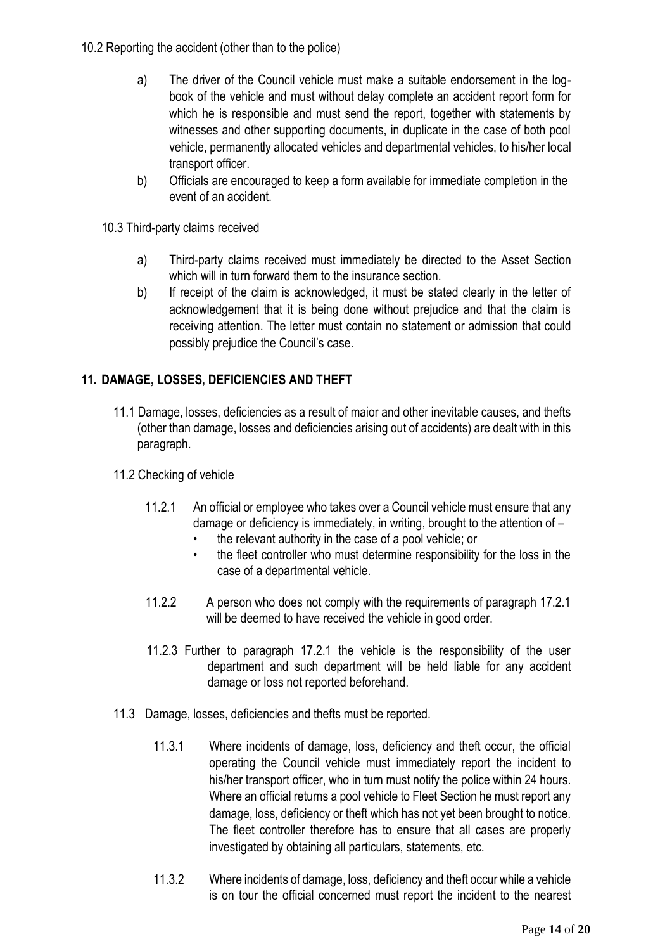- 10.2 Reporting the accident (other than to the police)
	- a) The driver of the Council vehicle must make a suitable endorsement in the logbook of the vehicle and must without delay complete an accident report form for which he is responsible and must send the report, together with statements by witnesses and other supporting documents, in duplicate in the case of both pool vehicle, permanently allocated vehicles and departmental vehicles, to his/her local transport officer.
	- b) Officials are encouraged to keep a form available for immediate completion in the event of an accident.
	- 10.3 Third-party claims received
		- a) Third-party claims received must immediately be directed to the Asset Section which will in turn forward them to the insurance section.
		- b) If receipt of the claim is acknowledged, it must be stated clearly in the letter of acknowledgement that it is being done without prejudice and that the claim is receiving attention. The letter must contain no statement or admission that could possibly prejudice the Council's case.

# **11. DAMAGE, LOSSES, DEFICIENCIES AND THEFT**

- 11.1 Damage, losses, deficiencies as a result of maior and other inevitable causes, and thefts (other than damage, losses and deficiencies arising out of accidents) are dealt with in this paragraph.
- 11.2 Checking of vehicle
	- 11.2.1 An official or employee who takes over a Council vehicle must ensure that any damage or deficiency is immediately, in writing, brought to the attention of –
		- the relevant authority in the case of a pool vehicle; or
		- the fleet controller who must determine responsibility for the loss in the case of a departmental vehicle.
	- 11.2.2 A person who does not comply with the requirements of paragraph 17.2.1 will be deemed to have received the vehicle in good order.
	- 11.2.3 Further to paragraph 17.2.1 the vehicle is the responsibility of the user department and such department will be held liable for any accident damage or loss not reported beforehand.
- 11.3 Damage, losses, deficiencies and thefts must be reported.
	- 11.3.1 Where incidents of damage, loss, deficiency and theft occur, the official operating the Council vehicle must immediately report the incident to his/her transport officer, who in turn must notify the police within 24 hours. Where an official returns a pool vehicle to Fleet Section he must report any damage, loss, deficiency or theft which has not yet been brought to notice. The fleet controller therefore has to ensure that all cases are properly investigated by obtaining all particulars, statements, etc.
	- 11.3.2 Where incidents of damage, loss, deficiency and theft occur while a vehicle is on tour the official concerned must report the incident to the nearest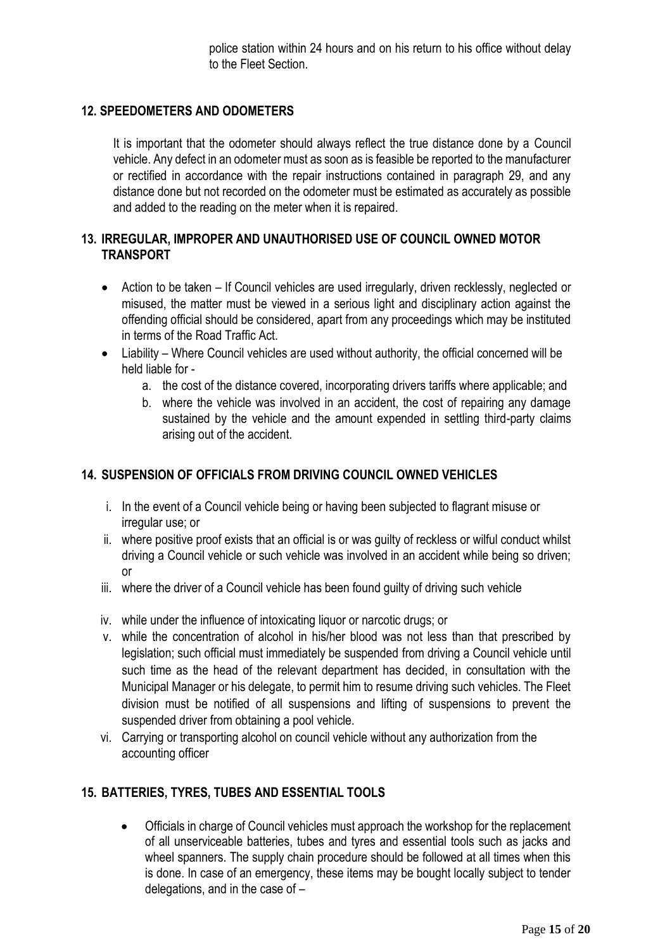police station within 24 hours and on his return to his office without delay to the Fleet Section.

#### **12. SPEEDOMETERS AND ODOMETERS**

It is important that the odometer should always reflect the true distance done by a Council vehicle. Any defect in an odometer must as soon as is feasible be reported to the manufacturer or rectified in accordance with the repair instructions contained in paragraph 29, and any distance done but not recorded on the odometer must be estimated as accurately as possible and added to the reading on the meter when it is repaired.

#### **13. IRREGULAR, IMPROPER AND UNAUTHORISED USE OF COUNCIL OWNED MOTOR TRANSPORT**

- Action to be taken If Council vehicles are used irregularly, driven recklessly, neglected or misused, the matter must be viewed in a serious light and disciplinary action against the offending official should be considered, apart from any proceedings which may be instituted in terms of the Road Traffic Act.
- Liability Where Council vehicles are used without authority, the official concerned will be held liable for
	- a. the cost of the distance covered, incorporating drivers tariffs where applicable; and
	- b. where the vehicle was involved in an accident, the cost of repairing any damage sustained by the vehicle and the amount expended in settling third-party claims arising out of the accident.

#### **14. SUSPENSION OF OFFICIALS FROM DRIVING COUNCIL OWNED VEHICLES**

- i. In the event of a Council vehicle being or having been subjected to flagrant misuse or irregular use; or
- ii. where positive proof exists that an official is or was guilty of reckless or wilful conduct whilst driving a Council vehicle or such vehicle was involved in an accident while being so driven; or
- iii. where the driver of a Council vehicle has been found guilty of driving such vehicle
- iv. while under the influence of intoxicating liquor or narcotic drugs; or
- v. while the concentration of alcohol in his/her blood was not less than that prescribed by legislation; such official must immediately be suspended from driving a Council vehicle until such time as the head of the relevant department has decided, in consultation with the Municipal Manager or his delegate, to permit him to resume driving such vehicles. The Fleet division must be notified of all suspensions and lifting of suspensions to prevent the suspended driver from obtaining a pool vehicle.
- vi. Carrying or transporting alcohol on council vehicle without any authorization from the accounting officer

#### **15. BATTERIES, TYRES, TUBES AND ESSENTIAL TOOLS**

 Officials in charge of Council vehicles must approach the workshop for the replacement of all unserviceable batteries, tubes and tyres and essential tools such as jacks and wheel spanners. The supply chain procedure should be followed at all times when this is done. In case of an emergency, these items may be bought locally subject to tender delegations, and in the case of –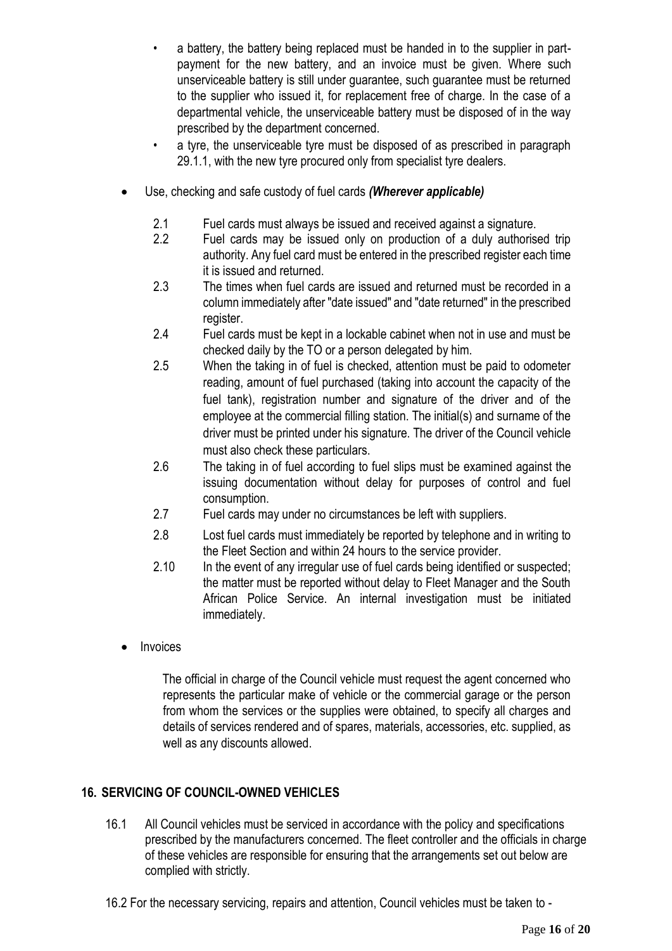- a battery, the battery being replaced must be handed in to the supplier in partpayment for the new battery, and an invoice must be given. Where such unserviceable battery is still under guarantee, such guarantee must be returned to the supplier who issued it, for replacement free of charge. In the case of a departmental vehicle, the unserviceable battery must be disposed of in the way prescribed by the department concerned.
- a tyre, the unserviceable tyre must be disposed of as prescribed in paragraph 29.1.1, with the new tyre procured only from specialist tyre dealers.
- Use, checking and safe custody of fuel cards *(Wherever applicable)*
	- 2.1 Fuel cards must always be issued and received against a signature.
	- 2.2 Fuel cards may be issued only on production of a duly authorised trip authority. Any fuel card must be entered in the prescribed register each time it is issued and returned.
	- 2.3 The times when fuel cards are issued and returned must be recorded in a column immediately after "date issued" and "date returned" in the prescribed register.
	- 2.4 Fuel cards must be kept in a lockable cabinet when not in use and must be checked daily by the TO or a person delegated by him.
	- 2.5 When the taking in of fuel is checked, attention must be paid to odometer reading, amount of fuel purchased (taking into account the capacity of the fuel tank), registration number and signature of the driver and of the employee at the commercial filling station. The initial(s) and surname of the driver must be printed under his signature. The driver of the Council vehicle must also check these particulars.
	- 2.6 The taking in of fuel according to fuel slips must be examined against the issuing documentation without delay for purposes of control and fuel consumption.
	- 2.7 Fuel cards may under no circumstances be left with suppliers.
	- 2.8 Lost fuel cards must immediately be reported by telephone and in writing to the Fleet Section and within 24 hours to the service provider.
	- 2.10 In the event of any irregular use of fuel cards being identified or suspected; the matter must be reported without delay to Fleet Manager and the South African Police Service. An internal investigation must be initiated immediately.
- Invoices

The official in charge of the Council vehicle must request the agent concerned who represents the particular make of vehicle or the commercial garage or the person from whom the services or the supplies were obtained, to specify all charges and details of services rendered and of spares, materials, accessories, etc. supplied, as well as any discounts allowed.

# **16. SERVICING OF COUNCIL-OWNED VEHICLES**

- 16.1 All Council vehicles must be serviced in accordance with the policy and specifications prescribed by the manufacturers concerned. The fleet controller and the officials in charge of these vehicles are responsible for ensuring that the arrangements set out below are complied with strictly.
- 16.2 For the necessary servicing, repairs and attention, Council vehicles must be taken to -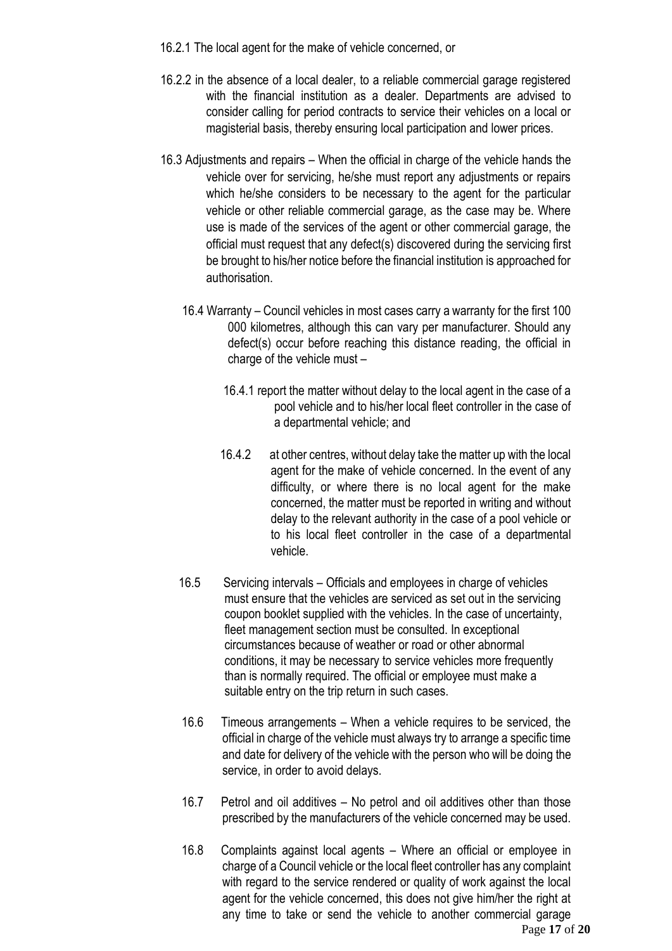- 16.2.1 The local agent for the make of vehicle concerned, or
- 16.2.2 in the absence of a local dealer, to a reliable commercial garage registered with the financial institution as a dealer. Departments are advised to consider calling for period contracts to service their vehicles on a local or magisterial basis, thereby ensuring local participation and lower prices.
- 16.3 Adjustments and repairs When the official in charge of the vehicle hands the vehicle over for servicing, he/she must report any adjustments or repairs which he/she considers to be necessary to the agent for the particular vehicle or other reliable commercial garage, as the case may be. Where use is made of the services of the agent or other commercial garage, the official must request that any defect(s) discovered during the servicing first be brought to his/her notice before the financial institution is approached for authorisation.
	- 16.4 Warranty Council vehicles in most cases carry a warranty for the first 100 000 kilometres, although this can vary per manufacturer. Should any defect(s) occur before reaching this distance reading, the official in charge of the vehicle must –
		- 16.4.1 report the matter without delay to the local agent in the case of a pool vehicle and to his/her local fleet controller in the case of a departmental vehicle; and
		- 16.4.2 at other centres, without delay take the matter up with the local agent for the make of vehicle concerned. In the event of any difficulty, or where there is no local agent for the make concerned, the matter must be reported in writing and without delay to the relevant authority in the case of a pool vehicle or to his local fleet controller in the case of a departmental vehicle.
	- 16.5 Servicing intervals Officials and employees in charge of vehicles must ensure that the vehicles are serviced as set out in the servicing coupon booklet supplied with the vehicles. In the case of uncertainty, fleet management section must be consulted. In exceptional circumstances because of weather or road or other abnormal conditions, it may be necessary to service vehicles more frequently than is normally required. The official or employee must make a suitable entry on the trip return in such cases.
	- 16.6 Timeous arrangements When a vehicle requires to be serviced, the official in charge of the vehicle must always try to arrange a specific time and date for delivery of the vehicle with the person who will be doing the service, in order to avoid delays.
	- 16.7 Petrol and oil additives No petrol and oil additives other than those prescribed by the manufacturers of the vehicle concerned may be used.
	- Page **17** of **20** 16.8 Complaints against local agents – Where an official or employee in charge of a Council vehicle or the local fleet controller has any complaint with regard to the service rendered or quality of work against the local agent for the vehicle concerned, this does not give him/her the right at any time to take or send the vehicle to another commercial garage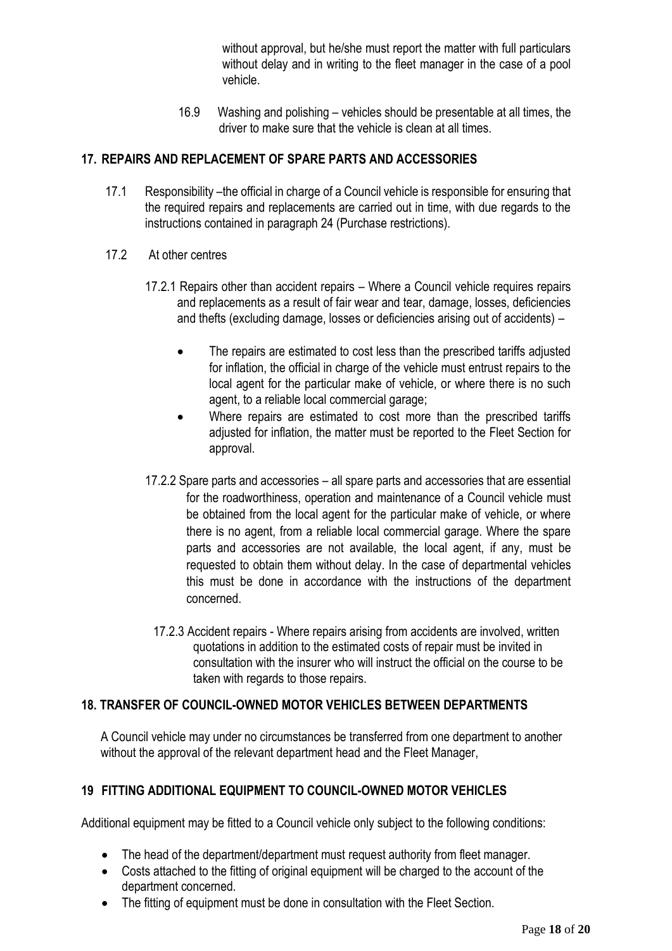without approval, but he/she must report the matter with full particulars without delay and in writing to the fleet manager in the case of a pool vehicle.

16.9 Washing and polishing – vehicles should be presentable at all times, the driver to make sure that the vehicle is clean at all times.

## **17. REPAIRS AND REPLACEMENT OF SPARE PARTS AND ACCESSORIES**

- 17.1 Responsibility –the official in charge of a Council vehicle is responsible for ensuring that the required repairs and replacements are carried out in time, with due regards to the instructions contained in paragraph 24 (Purchase restrictions).
- 17.2 At other centres
	- 17.2.1 Repairs other than accident repairs Where a Council vehicle requires repairs and replacements as a result of fair wear and tear, damage, losses, deficiencies and thefts (excluding damage, losses or deficiencies arising out of accidents) –
		- The repairs are estimated to cost less than the prescribed tariffs adjusted for inflation, the official in charge of the vehicle must entrust repairs to the local agent for the particular make of vehicle, or where there is no such agent, to a reliable local commercial garage;
		- Where repairs are estimated to cost more than the prescribed tariffs adjusted for inflation, the matter must be reported to the Fleet Section for approval.
	- 17.2.2 Spare parts and accessories all spare parts and accessories that are essential for the roadworthiness, operation and maintenance of a Council vehicle must be obtained from the local agent for the particular make of vehicle, or where there is no agent, from a reliable local commercial garage. Where the spare parts and accessories are not available, the local agent, if any, must be requested to obtain them without delay. In the case of departmental vehicles this must be done in accordance with the instructions of the department concerned.
		- 17.2.3 Accident repairs Where repairs arising from accidents are involved, written quotations in addition to the estimated costs of repair must be invited in consultation with the insurer who will instruct the official on the course to be taken with regards to those repairs.

#### **18. TRANSFER OF COUNCIL-OWNED MOTOR VEHICLES BETWEEN DEPARTMENTS**

A Council vehicle may under no circumstances be transferred from one department to another without the approval of the relevant department head and the Fleet Manager,

#### **19 FITTING ADDITIONAL EQUIPMENT TO COUNCIL-OWNED MOTOR VEHICLES**

Additional equipment may be fitted to a Council vehicle only subject to the following conditions:

- The head of the department/department must request authority from fleet manager.
- Costs attached to the fitting of original equipment will be charged to the account of the department concerned.
- The fitting of equipment must be done in consultation with the Fleet Section.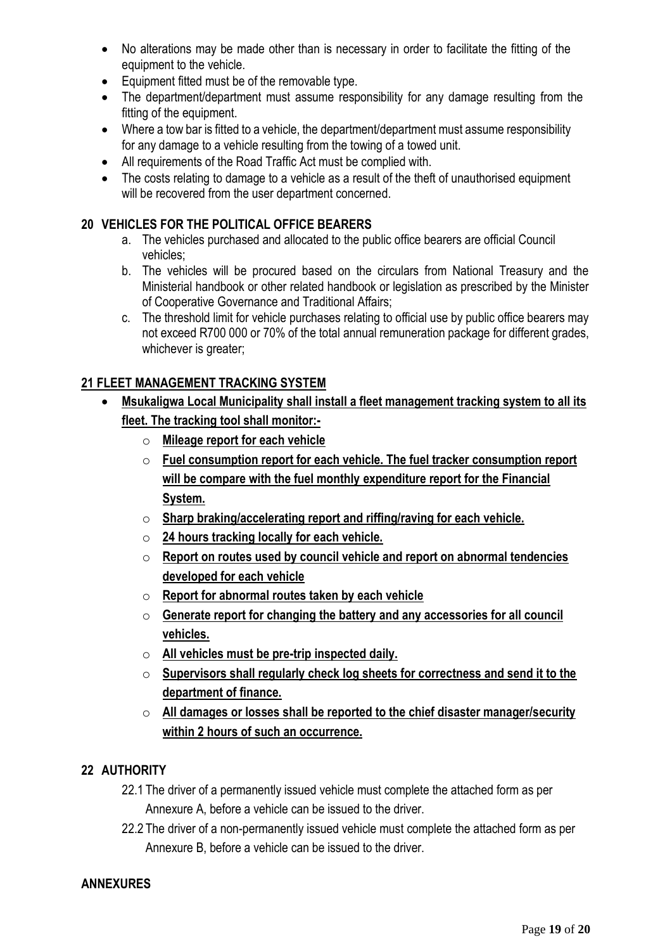- No alterations may be made other than is necessary in order to facilitate the fitting of the equipment to the vehicle.
- Equipment fitted must be of the removable type.
- The department/department must assume responsibility for any damage resulting from the fitting of the equipment.
- Where a tow bar is fitted to a vehicle, the department/department must assume responsibility for any damage to a vehicle resulting from the towing of a towed unit.
- All requirements of the Road Traffic Act must be complied with.
- The costs relating to damage to a vehicle as a result of the theft of unauthorised equipment will be recovered from the user department concerned.

# **20 VEHICLES FOR THE POLITICAL OFFICE BEARERS**

- a. The vehicles purchased and allocated to the public office bearers are official Council vehicles;
- b. The vehicles will be procured based on the circulars from National Treasury and the Ministerial handbook or other related handbook or legislation as prescribed by the Minister of Cooperative Governance and Traditional Affairs;
- c. The threshold limit for vehicle purchases relating to official use by public office bearers may not exceed R700 000 or 70% of the total annual remuneration package for different grades, whichever is greater;

# **21 FLEET MANAGEMENT TRACKING SYSTEM**

- **Msukaligwa Local Municipality shall install a fleet management tracking system to all its fleet. The tracking tool shall monitor:**
	- o **Mileage report for each vehicle**
	- o **Fuel consumption report for each vehicle. The fuel tracker consumption report will be compare with the fuel monthly expenditure report for the Financial System.**
	- o **Sharp braking/accelerating report and riffing/raving for each vehicle.**
	- o **24 hours tracking locally for each vehicle.**
	- o **Report on routes used by council vehicle and report on abnormal tendencies developed for each vehicle**
	- o **Report for abnormal routes taken by each vehicle**
	- o **Generate report for changing the battery and any accessories for all council vehicles.**
	- o **All vehicles must be pre-trip inspected daily.**
	- o **Supervisors shall regularly check log sheets for correctness and send it to the department of finance.**
	- o **All damages or losses shall be reported to the chief disaster manager/security within 2 hours of such an occurrence.**

#### **22 AUTHORITY**

- 22.1 The driver of a permanently issued vehicle must complete the attached form as per Annexure A, before a vehicle can be issued to the driver.
- 22.2 The driver of a non-permanently issued vehicle must complete the attached form as per Annexure B, before a vehicle can be issued to the driver.

#### **ANNEXURES**